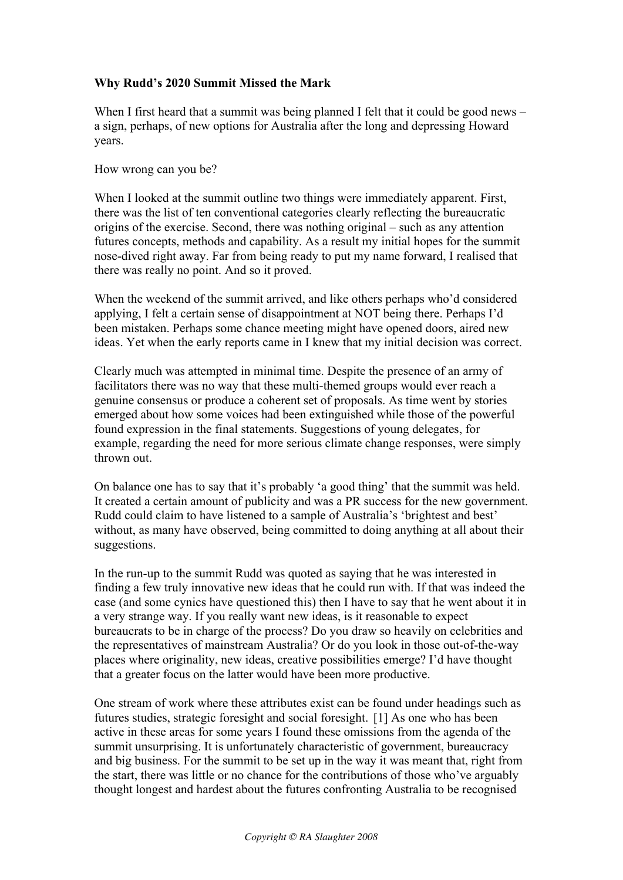## **Why Rudd's 2020 Summit Missed the Mark**

When I first heard that a summit was being planned I felt that it could be good news – a sign, perhaps, of new options for Australia after the long and depressing Howard years.

How wrong can you be?

When I looked at the summit outline two things were immediately apparent. First, there was the list of ten conventional categories clearly reflecting the bureaucratic origins of the exercise. Second, there was nothing original – such as any attention futures concepts, methods and capability. As a result my initial hopes for the summit nose-dived right away. Far from being ready to put my name forward, I realised that there was really no point. And so it proved.

When the weekend of the summit arrived, and like others perhaps who'd considered applying, I felt a certain sense of disappointment at NOT being there. Perhaps I'd been mistaken. Perhaps some chance meeting might have opened doors, aired new ideas. Yet when the early reports came in I knew that my initial decision was correct.

Clearly much was attempted in minimal time. Despite the presence of an army of facilitators there was no way that these multi-themed groups would ever reach a genuine consensus or produce a coherent set of proposals. As time went by stories emerged about how some voices had been extinguished while those of the powerful found expression in the final statements. Suggestions of young delegates, for example, regarding the need for more serious climate change responses, were simply thrown out.

On balance one has to say that it's probably 'a good thing' that the summit was held. It created a certain amount of publicity and was a PR success for the new government. Rudd could claim to have listened to a sample of Australia's 'brightest and best' without, as many have observed, being committed to doing anything at all about their suggestions.

In the run-up to the summit Rudd was quoted as saying that he was interested in finding a few truly innovative new ideas that he could run with. If that was indeed the case (and some cynics have questioned this) then I have to say that he went about it in a very strange way. If you really want new ideas, is it reasonable to expect bureaucrats to be in charge of the process? Do you draw so heavily on celebrities and the representatives of mainstream Australia? Or do you look in those out-of-the-way places where originality, new ideas, creative possibilities emerge? I'd have thought that a greater focus on the latter would have been more productive.

One stream of work where these attributes exist can be found under headings such as futures studies, strategic foresight and social foresight. [1] As one who has been active in these areas for some years I found these omissions from the agenda of the summit unsurprising. It is unfortunately characteristic of government, bureaucracy and big business. For the summit to be set up in the way it was meant that, right from the start, there was little or no chance for the contributions of those who've arguably thought longest and hardest about the futures confronting Australia to be recognised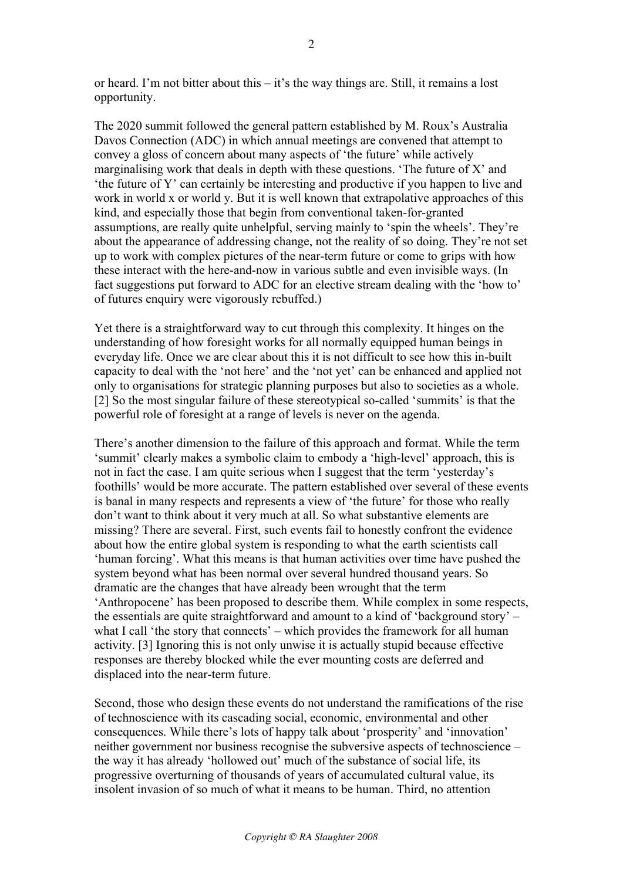or heard. I'm not bitter about this – it's the way things are. Still, it remains a lost opportunity.

The 2020 summit followed the general pattern established by M. Roux's Australia Davos Connection (ADC) in which annual meetings are convened that attempt to convey a gloss of concern about many aspects of 'the future' while actively marginalising work that deals in depth with these questions. 'The future of X' and 'the future of Y' can certainly be interesting and productive if you happen to live and work in world x or world y. But it is well known that extrapolative approaches of this kind, and especially those that begin from conventional taken-for-granted assumptions, are really quite unhelpful, serving mainly to 'spin the wheels'. They're about the appearance of addressing change, not the reality of so doing. They're not set up to work with complex pictures of the near-term future or come to grips with how these interact with the here-and-now in various subtle and even invisible ways. (In fact suggestions put forward to ADC for an elective stream dealing with the 'how to' of futures enquiry were vigorously rebuffed.)

Yet there is a straightforward way to cut through this complexity. It hinges on the understanding of how foresight works for all normally equipped human beings in everyday life. Once we are clear about this it is not difficult to see how this in-built capacity to deal with the 'not here' and the 'not yet' can be enhanced and applied not only to organisations for strategic planning purposes but also to societies as a whole. [2] So the most singular failure of these stereotypical so-called 'summits' is that the powerful role of foresight at a range of levels is never on the agenda.

There's another dimension to the failure of this approach and format. While the term 'summit' clearly makes a symbolic claim to embody a 'high-level' approach, this is not in fact the case. I am quite serious when I suggest that the term 'yesterday's foothills' would be more accurate. The pattern established over several of these events is banal in many respects and represents a view of 'the future' for those who really don't want to think about it very much at all. So what substantive elements are missing? There are several. First, such events fail to honestly confront the evidence about how the entire global system is responding to what the earth scientists call 'human forcing'. What this means is that human activities over time have pushed the system beyond what has been normal over several hundred thousand years. So dramatic are the changes that have already been wrought that the term 'Anthropocene' has been proposed to describe them. While complex in some respects, the essentials are quite straightforward and amount to a kind of 'background story' – what I call 'the story that connects' – which provides the framework for all human activity. [3] Ignoring this is not only unwise it is actually stupid because effective responses are thereby blocked while the ever mounting costs are deferred and displaced into the near-term future.

Second, those who design these events do not understand the ramifications of the rise of technoscience with its cascading social, economic, environmental and other consequences. While there's lots of happy talk about 'prosperity' and 'innovation' neither government nor business recognise the subversive aspects of technoscience – the way it has already 'hollowed out' much of the substance of social life, its progressive overturning of thousands of years of accumulated cultural value, its insolent invasion of so much of what it means to be human. Third, no attention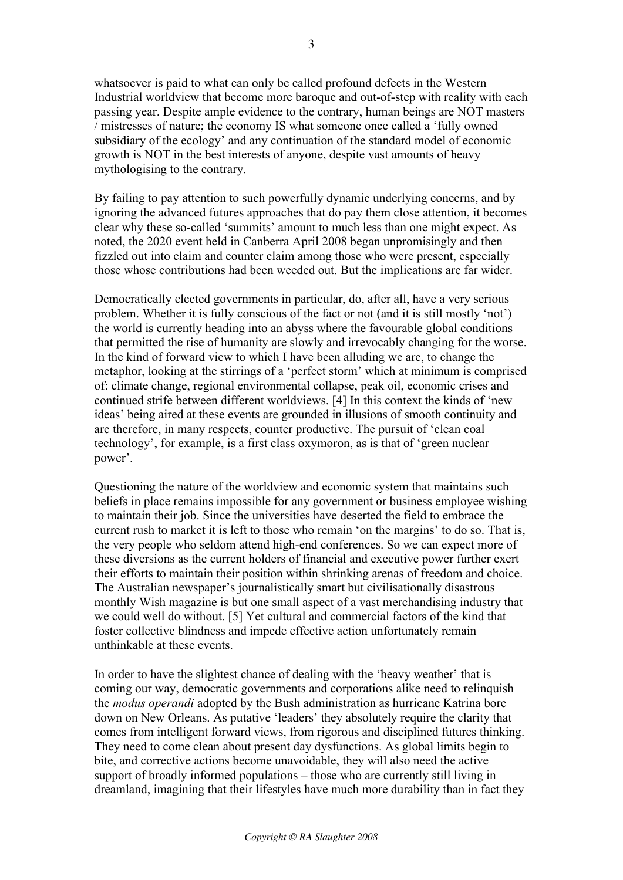whatsoever is paid to what can only be called profound defects in the Western Industrial worldview that become more baroque and out-of-step with reality with each passing year. Despite ample evidence to the contrary, human beings are NOT masters / mistresses of nature; the economy IS what someone once called a 'fully owned subsidiary of the ecology' and any continuation of the standard model of economic growth is NOT in the best interests of anyone, despite vast amounts of heavy mythologising to the contrary.

By failing to pay attention to such powerfully dynamic underlying concerns, and by ignoring the advanced futures approaches that do pay them close attention, it becomes clear why these so-called 'summits' amount to much less than one might expect. As noted, the 2020 event held in Canberra April 2008 began unpromisingly and then fizzled out into claim and counter claim among those who were present, especially those whose contributions had been weeded out. But the implications are far wider.

Democratically elected governments in particular, do, after all, have a very serious problem. Whether it is fully conscious of the fact or not (and it is still mostly 'not') the world is currently heading into an abyss where the favourable global conditions that permitted the rise of humanity are slowly and irrevocably changing for the worse. In the kind of forward view to which I have been alluding we are, to change the metaphor, looking at the stirrings of a 'perfect storm' which at minimum is comprised of: climate change, regional environmental collapse, peak oil, economic crises and continued strife between different worldviews. [4] In this context the kinds of 'new ideas' being aired at these events are grounded in illusions of smooth continuity and are therefore, in many respects, counter productive. The pursuit of 'clean coal technology', for example, is a first class oxymoron, as is that of 'green nuclear power'.

Questioning the nature of the worldview and economic system that maintains such beliefs in place remains impossible for any government or business employee wishing to maintain their job. Since the universities have deserted the field to embrace the current rush to market it is left to those who remain 'on the margins' to do so. That is, the very people who seldom attend high-end conferences. So we can expect more of these diversions as the current holders of financial and executive power further exert their efforts to maintain their position within shrinking arenas of freedom and choice. The Australian newspaper's journalistically smart but civilisationally disastrous monthly Wish magazine is but one small aspect of a vast merchandising industry that we could well do without. [5] Yet cultural and commercial factors of the kind that foster collective blindness and impede effective action unfortunately remain unthinkable at these events.

In order to have the slightest chance of dealing with the 'heavy weather' that is coming our way, democratic governments and corporations alike need to relinquish the *modus operandi* adopted by the Bush administration as hurricane Katrina bore down on New Orleans. As putative 'leaders' they absolutely require the clarity that comes from intelligent forward views, from rigorous and disciplined futures thinking. They need to come clean about present day dysfunctions. As global limits begin to bite, and corrective actions become unavoidable, they will also need the active support of broadly informed populations – those who are currently still living in dreamland, imagining that their lifestyles have much more durability than in fact they